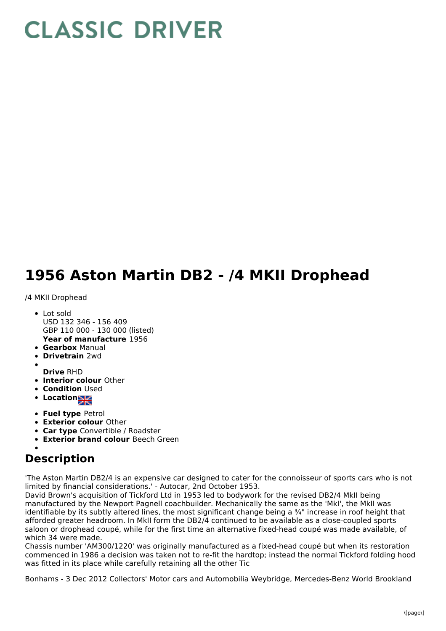## **CLASSIC DRIVER**

## **1956 Aston Martin DB2 - /4 MKII Drophead**

## /4 MKII Drophead

- **Year of manufacture** 1956 • Lot sold USD 132 346 - 156 409 GBP 110 000 - 130 000 (listed)
- **Gearbox** Manual
- **Drivetrain** 2wd
- 
- **Drive** RHD
- **Interior colour** Other
- **Condition Used**
- Location
- **Fuel type** Petrol
- **Exterior colour** Other
- **Car type** Convertible / Roadster
- **Exterior brand colour** Beech Green

## **Description**

'The Aston Martin DB2/4 is an expensive car designed to cater for the connoisseur of sports cars who is not limited by financial considerations.' - Autocar, 2nd October 1953.

David Brown's acquisition of Tickford Ltd in 1953 led to bodywork for the revised DB2/4 MkII being manufactured by the Newport Pagnell coachbuilder. Mechanically the same as the 'MkI', the MkII was identifiable by its subtly altered lines, the most significant change being a ¾" increase in roof height that afforded greater headroom. In MkII form the DB2/4 continued to be available as a close-coupled sports saloon or drophead coupé, while for the first time an alternative fixed-head coupé was made available, of which 34 were made.

Chassis number 'AM300/1220' was originally manufactured as a fixed-head coupé but when its restoration commenced in 1986 a decision was taken not to re-fit the hardtop; instead the normal Tickford folding hood was fitted in its place while carefully retaining all the other Tic

Bonhams - 3 Dec 2012 Collectors' Motor cars and Automobilia Weybridge, Mercedes-Benz World Brookland